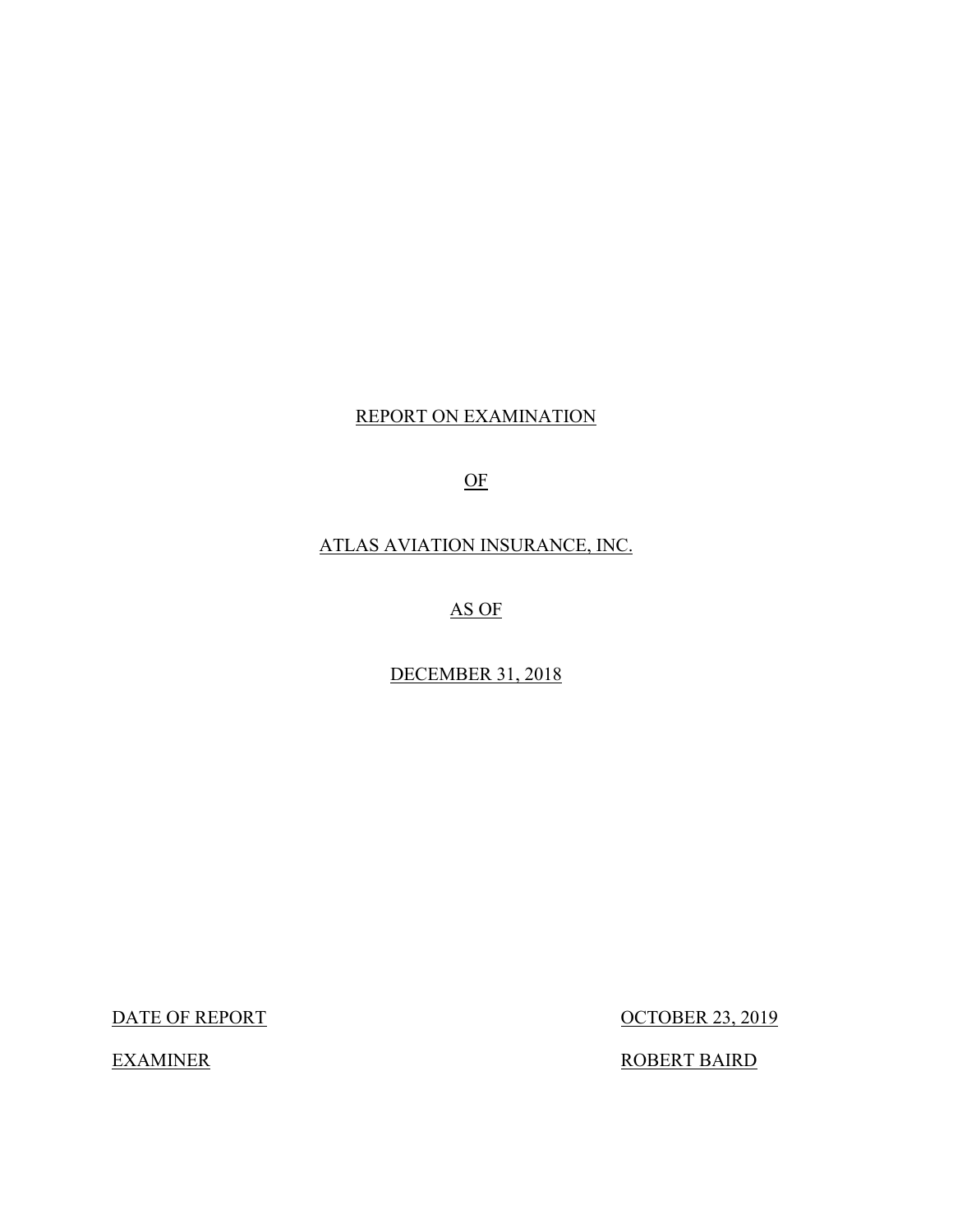### REPORT ON EXAMINATION

### OF

### ATLAS AVIATION INSURANCE, INC.

### AS OF

### DECEMBER 31, 2018

DATE OF REPORT

**EXAMINER** 

**OCTOBER 23, 2019** 

ROBERT BAIRD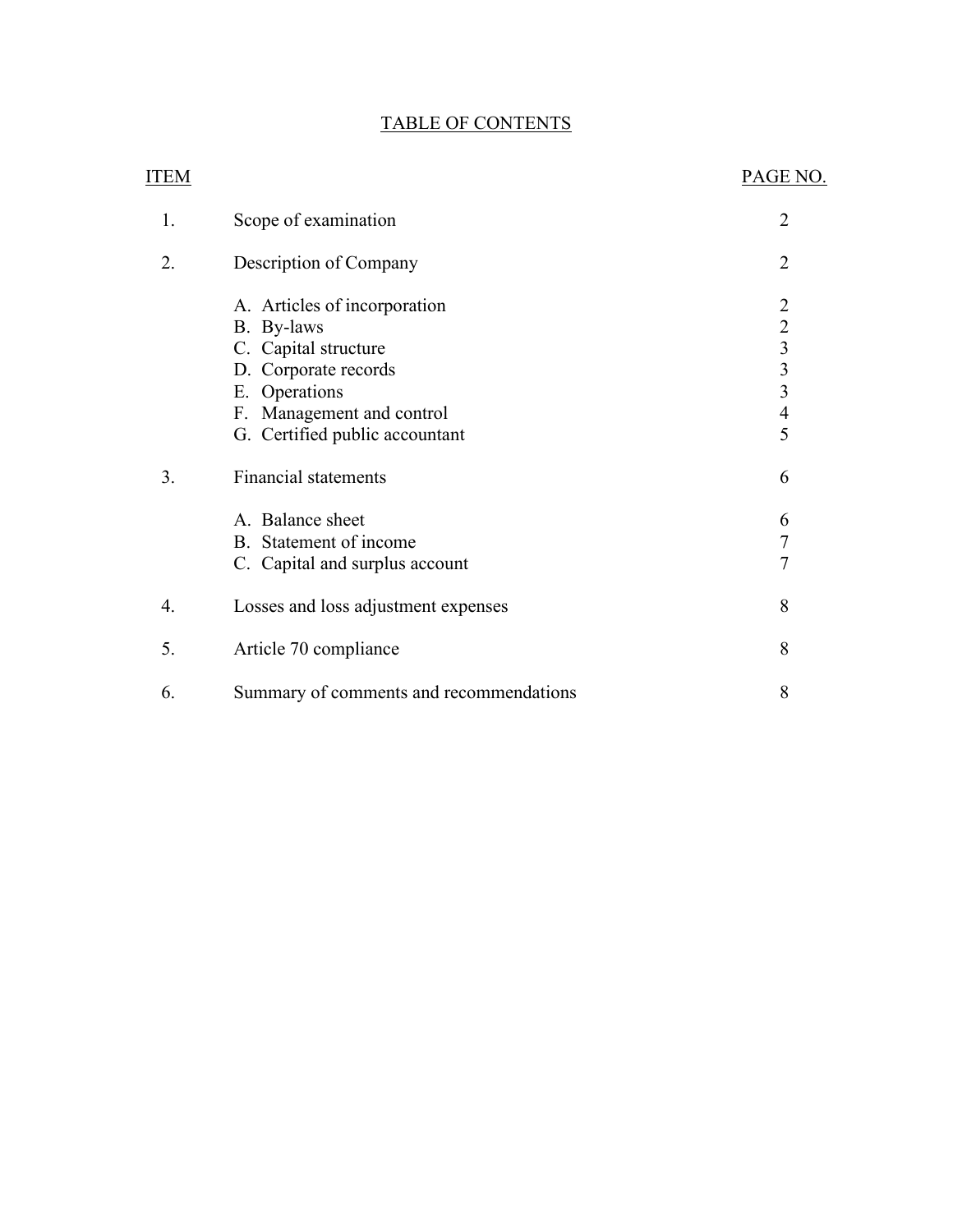## TABLE OF CONTENTS

| <b>ITEM</b> |                                                                                                                                                                            | PAGE NO.                                                         |
|-------------|----------------------------------------------------------------------------------------------------------------------------------------------------------------------------|------------------------------------------------------------------|
| 1.          | Scope of examination                                                                                                                                                       | $\overline{2}$                                                   |
| 2.          | Description of Company                                                                                                                                                     | 2                                                                |
|             | A. Articles of incorporation<br>B. By-laws<br>C. Capital structure<br>D. Corporate records<br>E. Operations<br>F. Management and control<br>G. Certified public accountant | $\begin{array}{c} 2 \\ 2 \\ 3 \\ 3 \end{array}$<br>$\frac{4}{5}$ |
| 3.          | <b>Financial statements</b><br>A. Balance sheet<br>B. Statement of income<br>C. Capital and surplus account                                                                | 6<br>6<br>$\overline{7}$<br>$\overline{7}$                       |
| 4.          | Losses and loss adjustment expenses                                                                                                                                        | 8                                                                |
| 5.          | Article 70 compliance                                                                                                                                                      | 8                                                                |
| 6.          | Summary of comments and recommendations                                                                                                                                    | 8                                                                |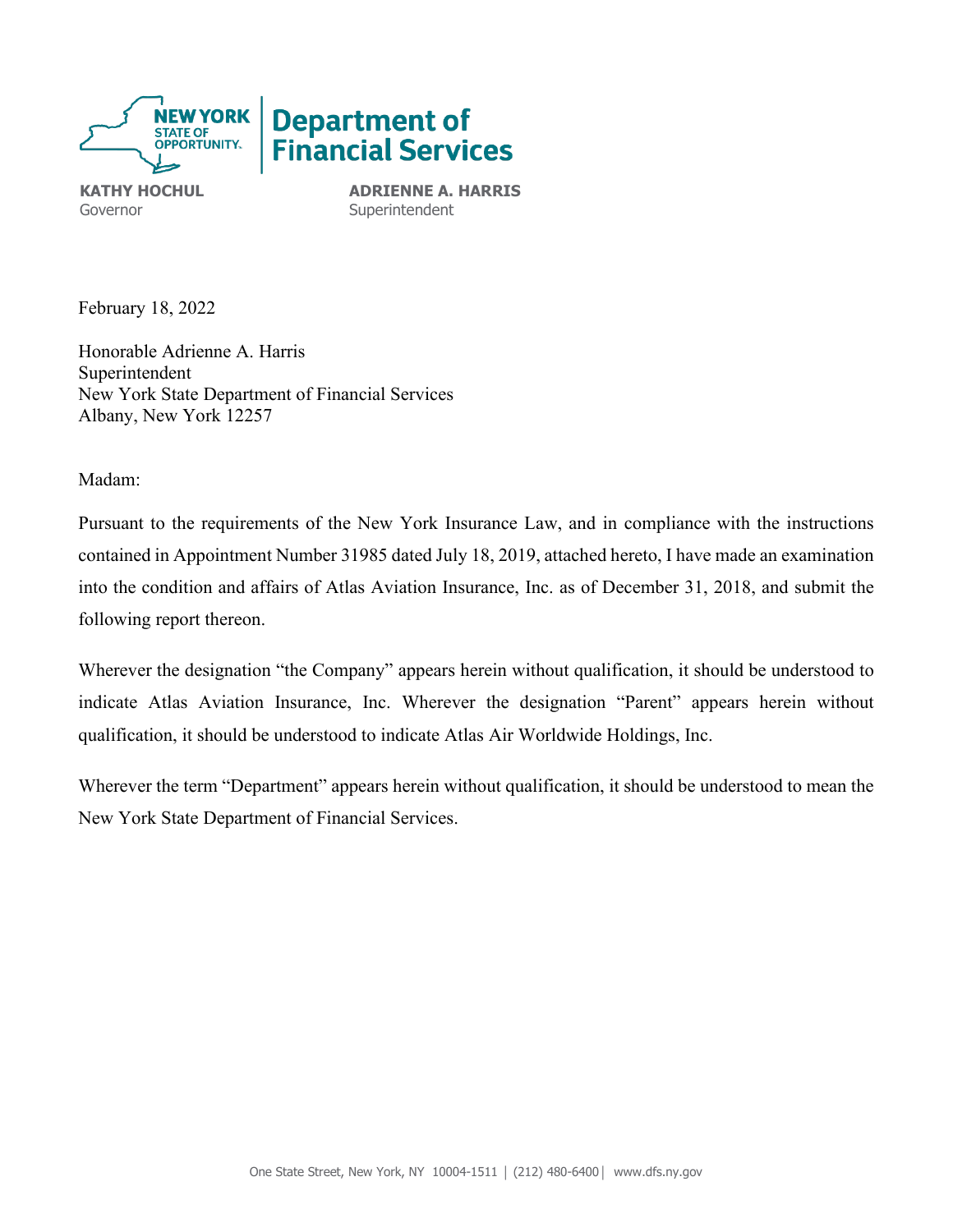

Governor **Superintendent** 

**KATHY HOCHUL ADRIENNE A. HARRIS** 

February 18, 2022

Honorable Adrienne A. Harris Superintendent New York State Department of Financial Services Albany, New York 12257

Madam:

 contained in Appointment Number 31985 dated July 18, 2019, attached hereto, I have made an examination Pursuant to the requirements of the New York Insurance Law, and in compliance with the instructions into the condition and affairs of Atlas Aviation Insurance, Inc. as of December 31, 2018, and submit the following report thereon.

Wherever the designation "the Company" appears herein without qualification, it should be understood to indicate Atlas Aviation Insurance, Inc. Wherever the designation "Parent" appears herein without qualification, it should be understood to indicate Atlas Air Worldwide Holdings, Inc.

Wherever the term "Department" appears herein without qualification, it should be understood to mean the New York State Department of Financial Services.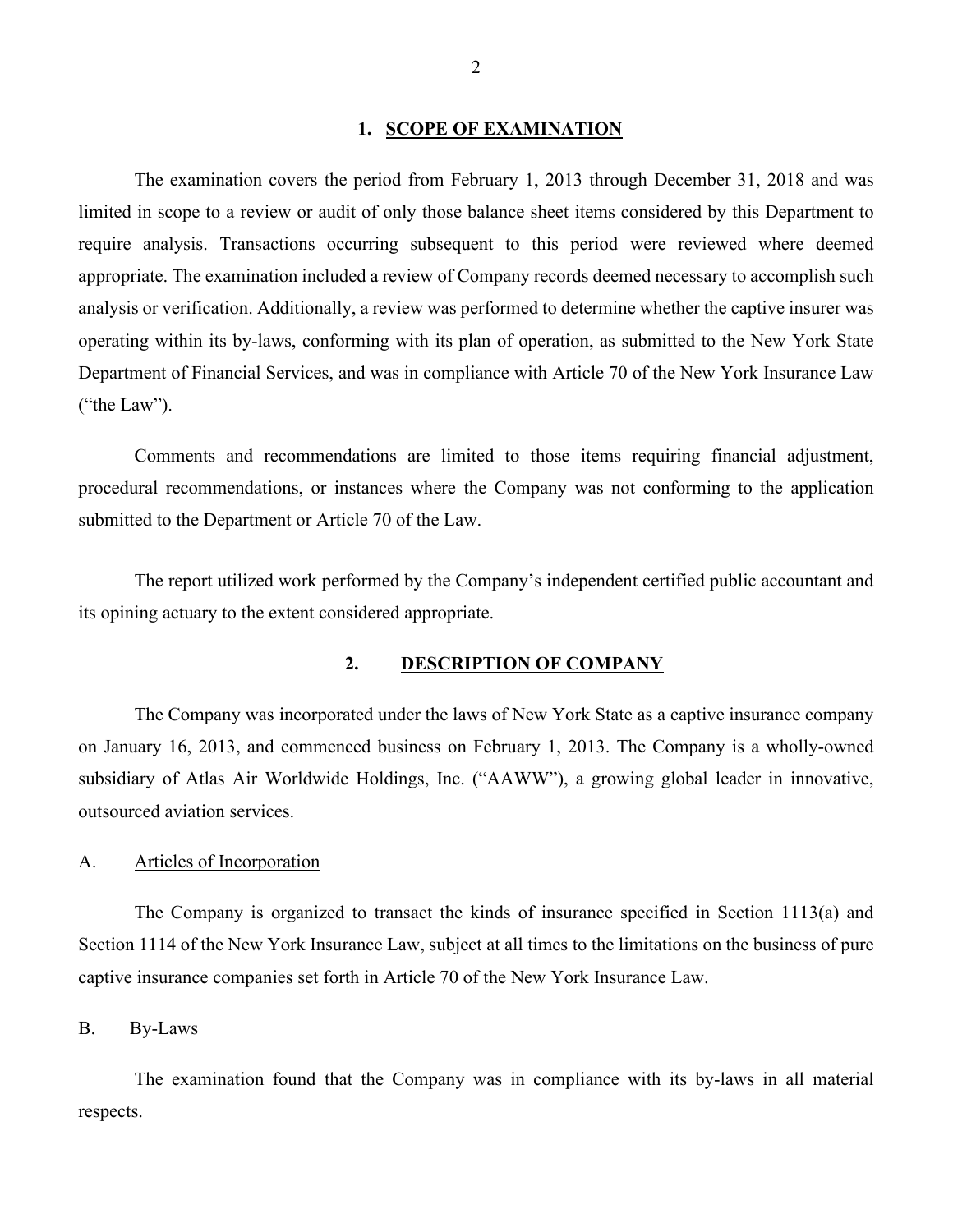#### **1. SCOPE OF EXAMINATION**

<span id="page-3-0"></span>The examination covers the period from February 1, 2013 through December 31, 2018 and was limited in scope to a review or audit of only those balance sheet items considered by this Department to require analysis. Transactions occurring subsequent to this period were reviewed where deemed appropriate. The examination included a review of Company records deemed necessary to accomplish such analysis or verification. Additionally, a review was performed to determine whether the captive insurer was operating within its by-laws, conforming with its plan of operation, as submitted to the New York State Department of Financial Services, and was in compliance with Article 70 of the New York Insurance Law ("the Law").

Comments and recommendations are limited to those items requiring financial adjustment, procedural recommendations, or instances where the Company was not conforming to the application submitted to the Department or Article 70 of the Law.

The report utilized work performed by the Company's independent certified public accountant and its opining actuary to the extent considered appropriate.

#### <span id="page-3-1"></span>**2. DESCRIPTION OF COMPANY**

 The Company was incorporated under the laws of New York State as a captive insurance company on January 16, 2013, and commenced business on February 1, 2013. The Company is a wholly-owned subsidiary of Atlas Air Worldwide Holdings, Inc. ("AAWW"), a growing global leader in innovative, outsourced aviation services.

#### <span id="page-3-2"></span>A. Articles of Incorporation

 captive insurance companies set forth in Article 70 of the New York Insurance Law. The Company is organized to transact the kinds of insurance specified in Section 1113(a) and Section 1114 of the New York Insurance Law, subject at all times to the limitations on the business of pure

#### <span id="page-3-3"></span>B. By-Laws

The examination found that the Company was in compliance with its by-laws in all material respects.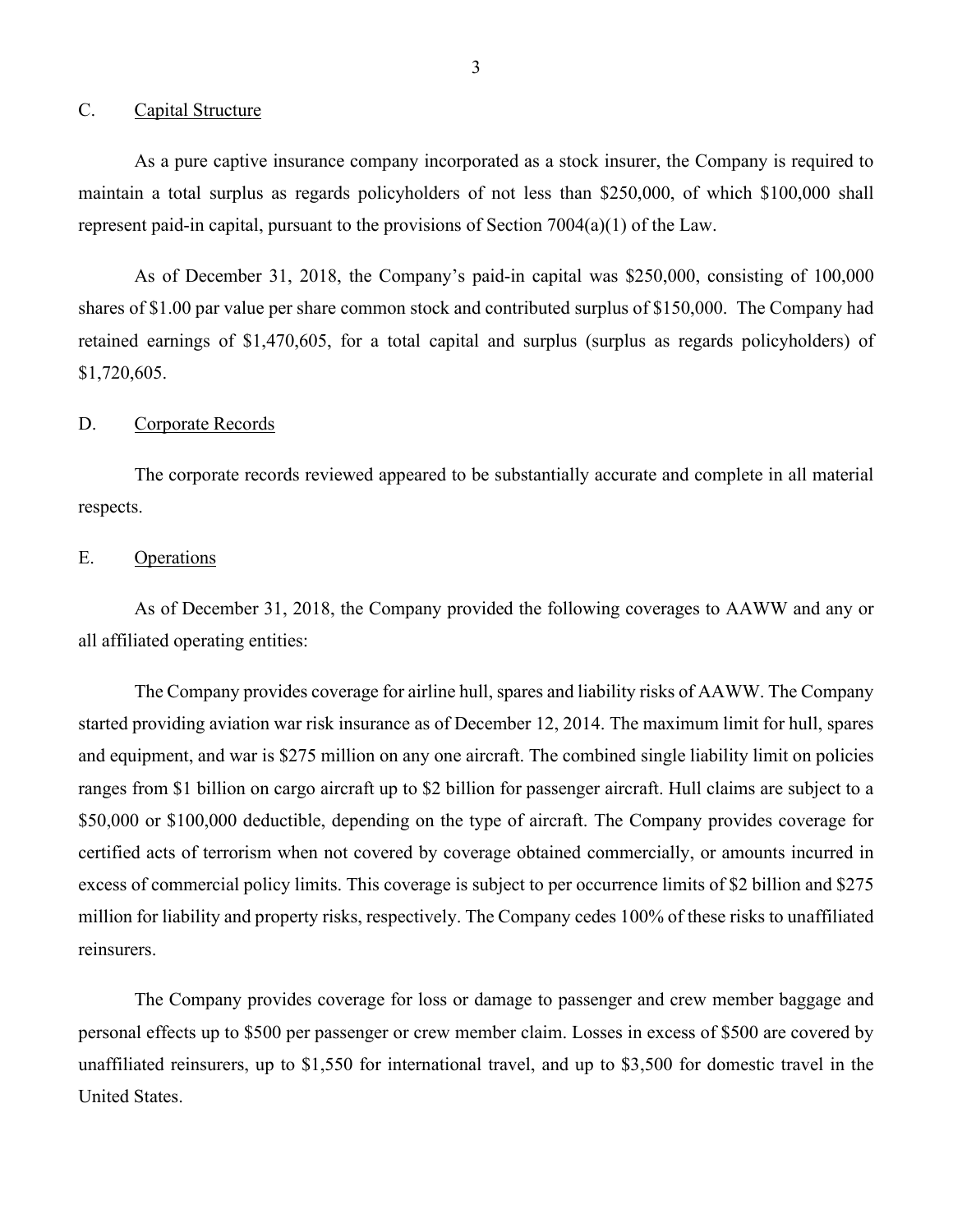#### <span id="page-4-0"></span>C. Capital Structure

As a pure captive insurance company incorporated as a stock insurer, the Company is required to maintain a total surplus as regards policyholders of not less than \$250,000, of which \$100,000 shall represent paid-in capital, pursuant to the provisions of Section 7004(a)(1) of the Law.

 shares of \$1.00 par value per share common stock and contributed surplus of \$150,000. The Company had As of December 31, 2018, the Company's paid-in capital was \$250,000, consisting of 100,000 retained earnings of \$1,470,605, for a total capital and surplus (surplus as regards policyholders) of \$1,720,605.

#### <span id="page-4-1"></span>D. Corporate Records

The corporate records reviewed appeared to be substantially accurate and complete in all material respects.

#### <span id="page-4-2"></span>E. Operations

As of December 31, 2018, the Company provided the following coverages to AAWW and any or all affiliated operating entities:

 ranges from \$1 billion on cargo aircraft up to \$2 billion for passenger aircraft. Hull claims are subject to a The Company provides coverage for airline hull, spares and liability risks of AAWW. The Company started providing aviation war risk insurance as of December 12, 2014. The maximum limit for hull, spares and equipment, and war is \$275 million on any one aircraft. The combined single liability limit on policies \$50,000 or \$100,000 deductible, depending on the type of aircraft. The Company provides coverage for certified acts of terrorism when not covered by coverage obtained commercially, or amounts incurred in excess of commercial policy limits. This coverage is subject to per occurrence limits of \$2 billion and \$275 million for liability and property risks, respectively. The Company cedes 100% of these risks to unaffiliated reinsurers.

 unaffiliated reinsurers, up to \$1,550 for international travel, and up to \$3,500 for domestic travel in the The Company provides coverage for loss or damage to passenger and crew member baggage and personal effects up to \$500 per passenger or crew member claim. Losses in excess of \$500 are covered by United States.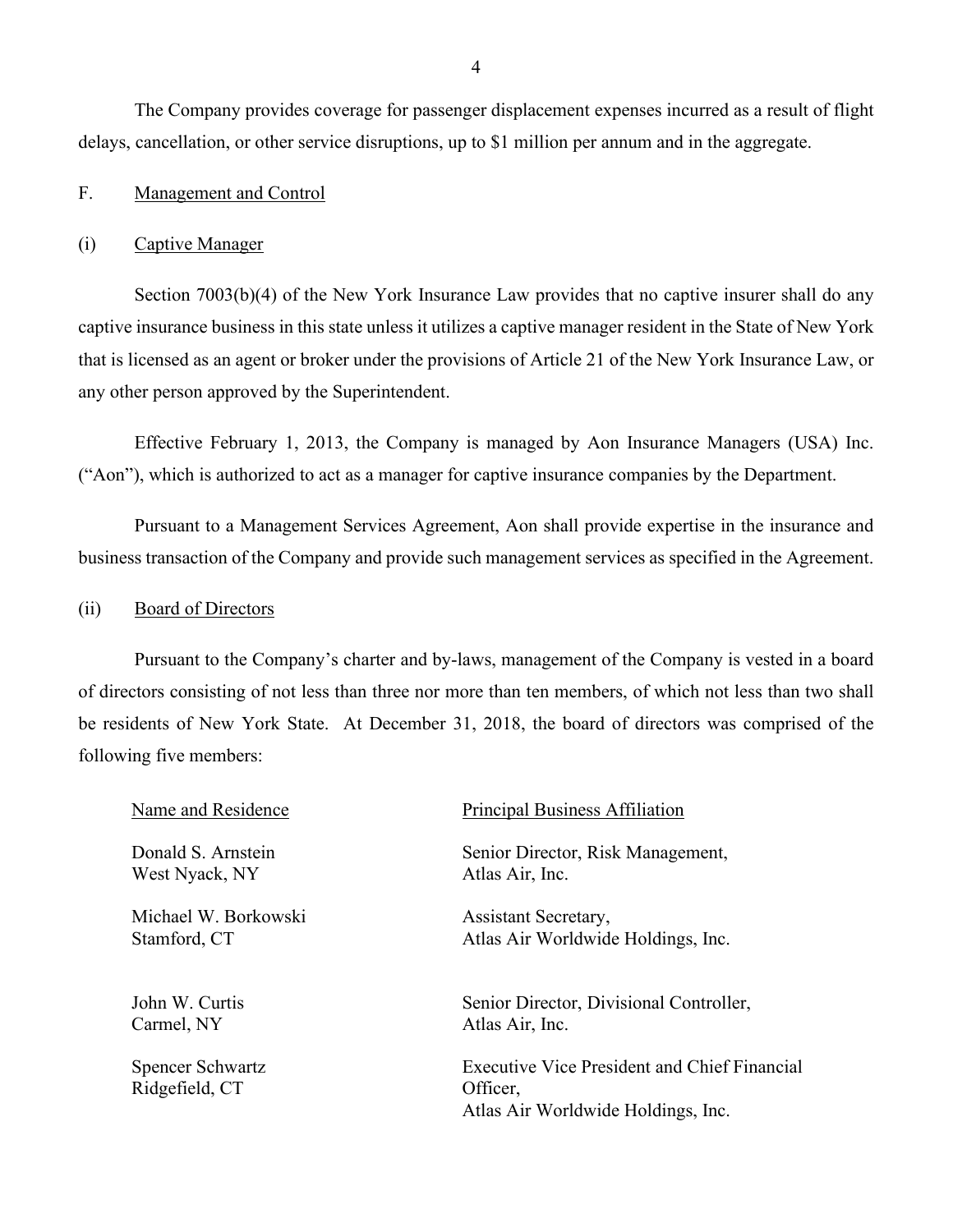The Company provides coverage for passenger displacement expenses incurred as a result of flight delays, cancellation, or other service disruptions, up to \$1 million per annum and in the aggregate.

#### <span id="page-5-0"></span>F. Management and Control

#### (i) Captive Manager

Section 7003(b)(4) of the New York Insurance Law provides that no captive insurer shall do any captive insurance business in this state unless it utilizes a captive manager resident in the State of New York that is licensed as an agent or broker under the provisions of Article 21 of the New York Insurance Law, or any other person approved by the Superintendent.

 Effective February 1, 2013, the Company is managed by Aon Insurance Managers (USA) Inc. ("Aon"), which is authorized to act as a manager for captive insurance companies by the Department.

 Pursuant to a Management Services Agreement, Aon shall provide expertise in the insurance and business transaction of the Company and provide such management services as specified in the Agreement.

#### (ii) Board of Directors

 of directors consisting of not less than three nor more than ten members, of which not less than two shall following five members: Pursuant to the Company's charter and by-laws, management of the Company is vested in a board be residents of New York State. At December 31, 2018, the board of directors was comprised of the

| Name and Residence                        | Principal Business Affiliation                                                                        |
|-------------------------------------------|-------------------------------------------------------------------------------------------------------|
| Donald S. Arnstein                        | Senior Director, Risk Management,                                                                     |
| West Nyack, NY                            | Atlas Air, Inc.                                                                                       |
| Michael W. Borkowski                      | Assistant Secretary,                                                                                  |
| Stamford, CT                              | Atlas Air Worldwide Holdings, Inc.                                                                    |
| John W. Curtis                            | Senior Director, Divisional Controller,                                                               |
| Carmel, NY                                | Atlas Air, Inc.                                                                                       |
| <b>Spencer Schwartz</b><br>Ridgefield, CT | <b>Executive Vice President and Chief Financial</b><br>Officer,<br>Atlas Air Worldwide Holdings, Inc. |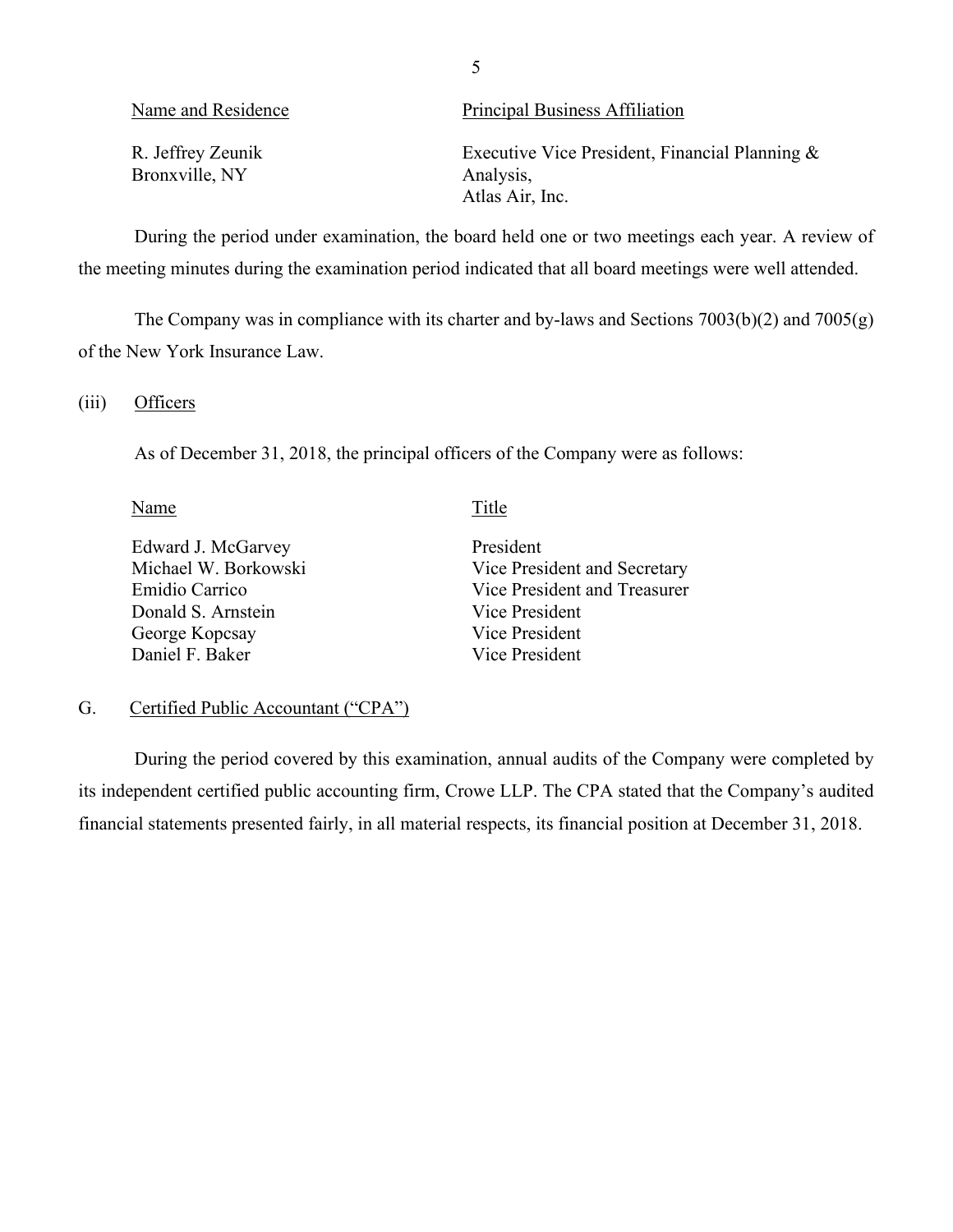| Name and Residence                  | Principal Business Affiliation                                                 |
|-------------------------------------|--------------------------------------------------------------------------------|
| R. Jeffrey Zeunik<br>Bronxville, NY | Executive Vice President, Financial Planning &<br>Analysis,<br>Atlas Air, Inc. |

 During the period under examination, the board held one or two meetings each year. A review of the meeting minutes during the examination period indicated that all board meetings were well attended.

 of the New York Insurance Law. The Company was in compliance with its charter and by-laws and Sections 7003(b)(2) and 7005(g)

#### $(iii)$ Officers

As of December 31, 2018, the principal officers of the Company were as follows:

#### Name Title

Edward J. McGarvey Michael W. Borkowski Emidio Carrico Donald S. Arnstein George Kopcsay Daniel F. Baker

President Vice President and Secretary Vice President and Treasurer Vice President Vice President Vice President

#### <span id="page-6-0"></span>G. Certified Public Accountant ("CPA")

During the period covered by this examination, annual audits of the Company were completed by its independent certified public accounting firm, Crowe LLP. The CPA stated that the Company's audited financial statements presented fairly, in all material respects, its financial position at December 31, 2018.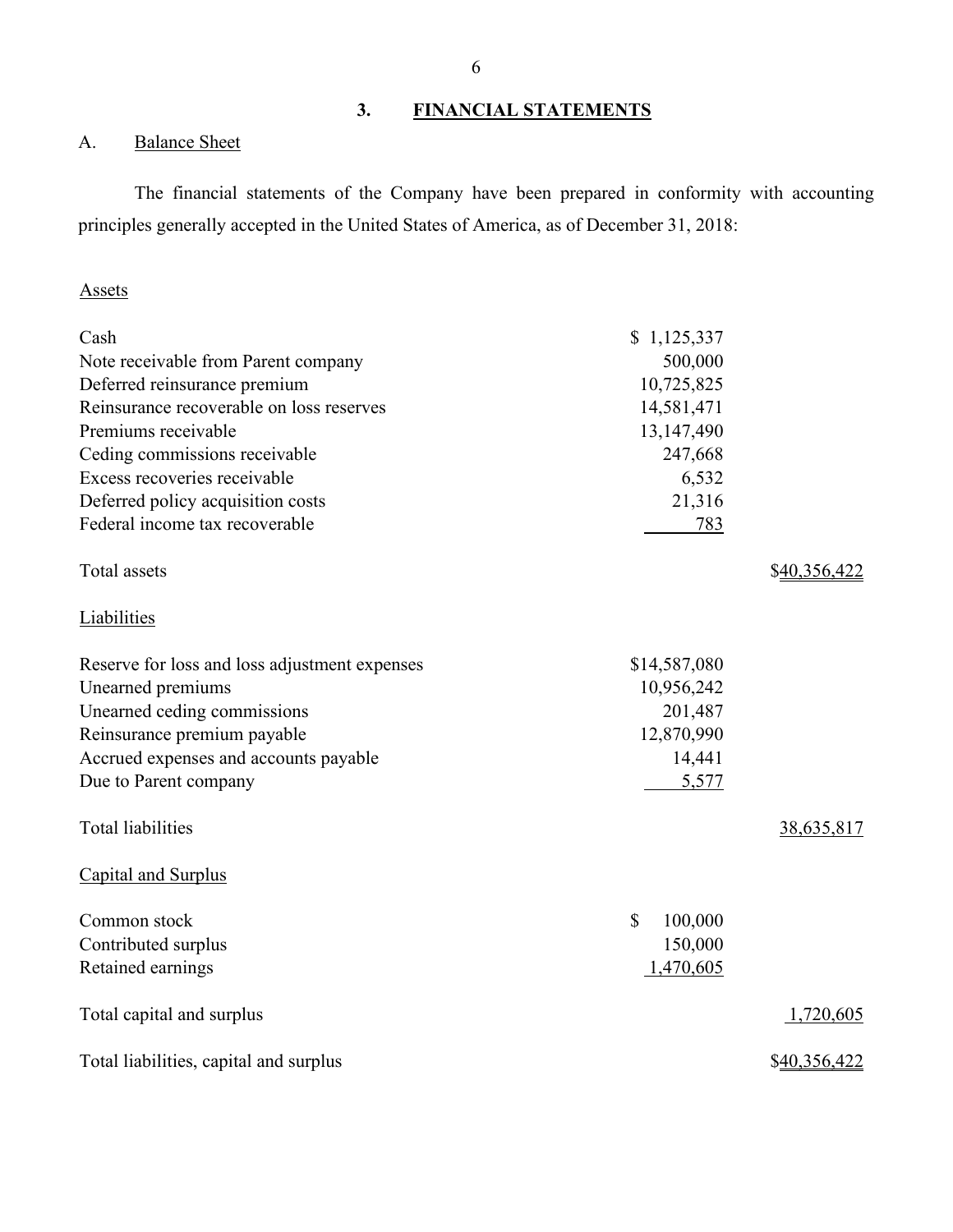### **3. FINANCIAL STATEMENTS**

### <span id="page-7-0"></span>A. Balance Sheet

The financial statements of the Company have been prepared in conformity with accounting principles generally accepted in the United States of America, as of December 31, 2018:

#### Assets

| Cash                                          | \$1,125,337             |              |
|-----------------------------------------------|-------------------------|--------------|
| Note receivable from Parent company           | 500,000                 |              |
| Deferred reinsurance premium                  | 10,725,825              |              |
| Reinsurance recoverable on loss reserves      | 14,581,471              |              |
| Premiums receivable                           | 13,147,490              |              |
| Ceding commissions receivable                 | 247,668                 |              |
| Excess recoveries receivable                  | 6,532                   |              |
| Deferred policy acquisition costs             | 21,316                  |              |
| Federal income tax recoverable                | 783                     |              |
| Total assets                                  |                         | \$40,356,422 |
| <b>Liabilities</b>                            |                         |              |
| Reserve for loss and loss adjustment expenses | \$14,587,080            |              |
| Unearned premiums                             | 10,956,242              |              |
| Unearned ceding commissions                   | 201,487                 |              |
| Reinsurance premium payable                   | 12,870,990              |              |
| Accrued expenses and accounts payable         | 14,441                  |              |
| Due to Parent company                         | 5,577                   |              |
| <b>Total liabilities</b>                      |                         | 38,635,817   |
| Capital and Surplus                           |                         |              |
| Common stock                                  | $\mathbb{S}$<br>100,000 |              |
| Contributed surplus                           | 150,000                 |              |
| Retained earnings                             | 1,470,605               |              |
| Total capital and surplus                     |                         | 1,720,605    |
| Total liabilities, capital and surplus        |                         | \$40,356,422 |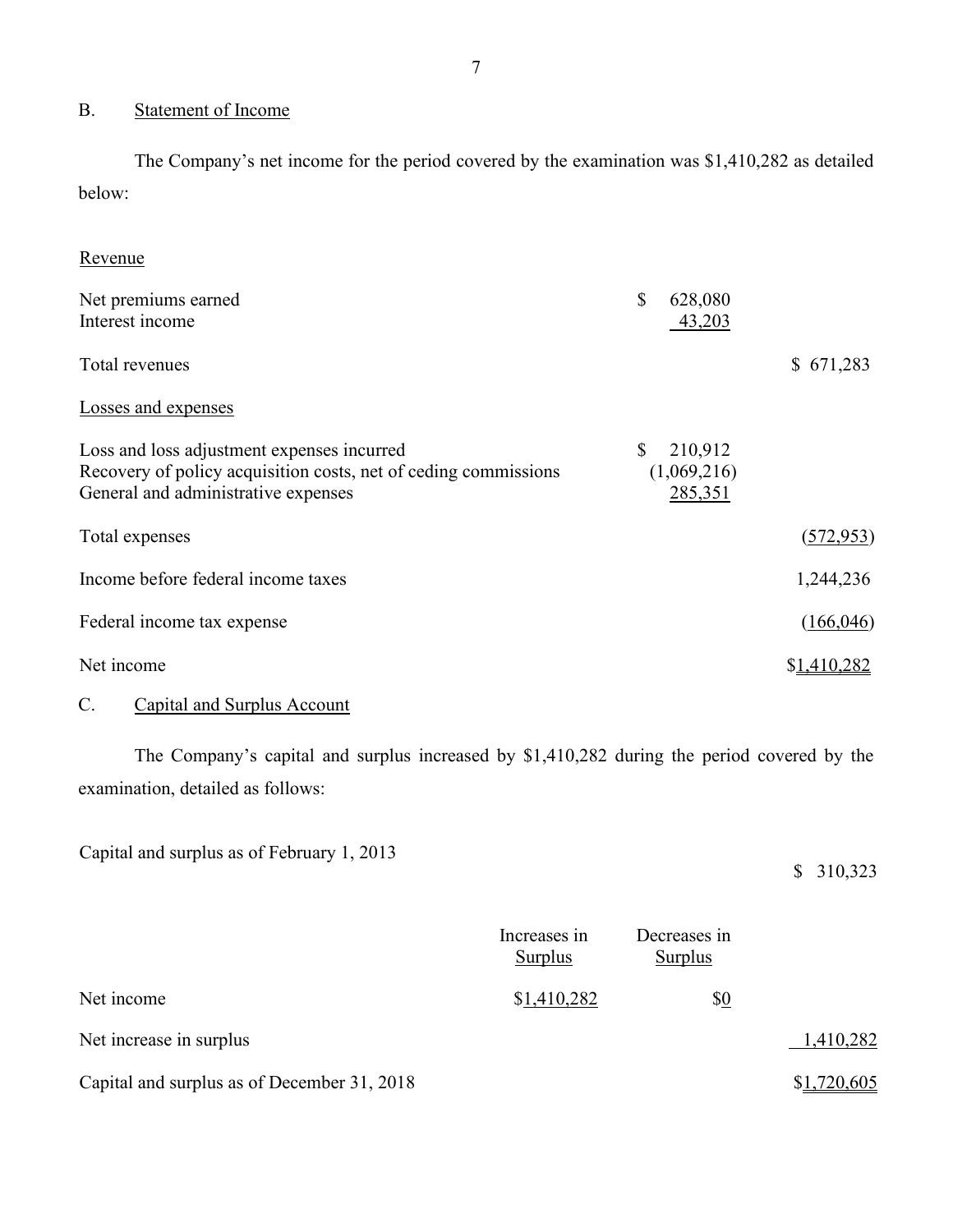### <span id="page-8-0"></span>B. Statement of Income

 The Company's net income for the period covered by the examination was \$1,410,282 as detailed below:

| \$<br>628,080<br>43,203                           |             |
|---------------------------------------------------|-------------|
|                                                   | \$671,283   |
|                                                   |             |
| 210,912<br>$\mathbb{S}$<br>(1,069,216)<br>285,351 |             |
|                                                   | (572, 953)  |
|                                                   | 1,244,236   |
|                                                   | (166, 046)  |
|                                                   | \$1,410,282 |
|                                                   |             |

#### <span id="page-8-1"></span>C. Capital and Surplus Account

 The Company's capital and surplus increased by \$1,410,282 during the period covered by the examination, detailed as follows:

Capital and surplus as of February 1, 2013

#### \$ 310,323

|                                             | Increases in<br>Surplus | Decreases in<br>Surplus |             |
|---------------------------------------------|-------------------------|-------------------------|-------------|
| Net income                                  | \$1,410,282             | \$0                     |             |
| Net increase in surplus                     |                         |                         | 1,410,282   |
| Capital and surplus as of December 31, 2018 |                         |                         | \$1,720,605 |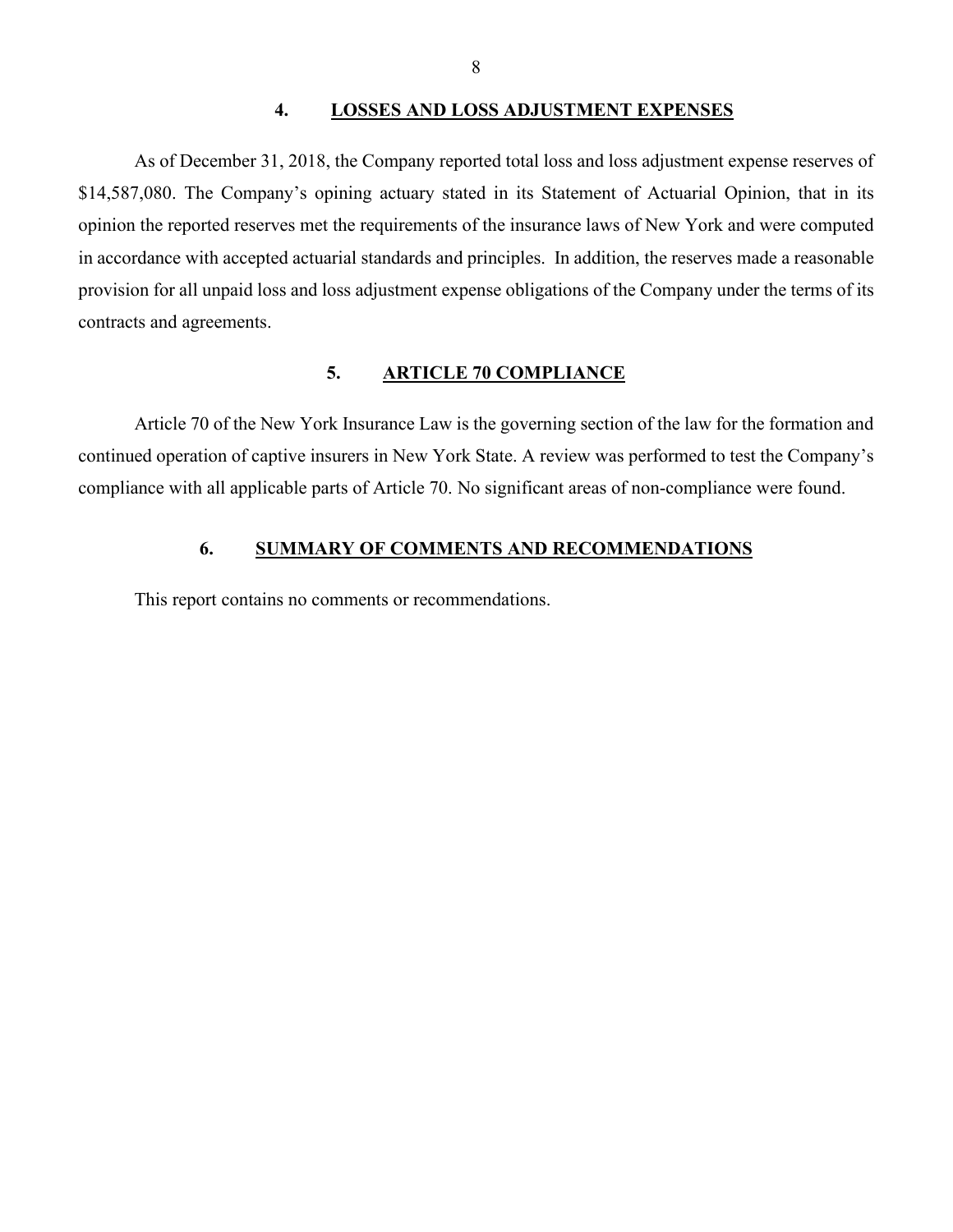#### **4. LOSSES AND LOSS ADJUSTMENT EXPENSES**

<span id="page-9-0"></span> opinion the reported reserves met the requirements of the insurance laws of New York and were computed As of December 31, 2018, the Company reported total loss and loss adjustment expense reserves of \$14,587,080. The Company's opining actuary stated in its Statement of Actuarial Opinion, that in its in accordance with accepted actuarial standards and principles. In addition, the reserves made a reasonable provision for all unpaid loss and loss adjustment expense obligations of the Company under the terms of its contracts and agreements.

#### **5. ARTICLE 70 COMPLIANCE**

<span id="page-9-1"></span>Article 70 of the New York Insurance Law is the governing section of the law for the formation and continued operation of captive insurers in New York State. A review was performed to test the Company's compliance with all applicable parts of Article 70. No significant areas of non-compliance were found.

### **6. SUMMARY OF COMMENTS AND RECOMMENDATIONS**

<span id="page-9-2"></span>This report contains no comments or recommendations.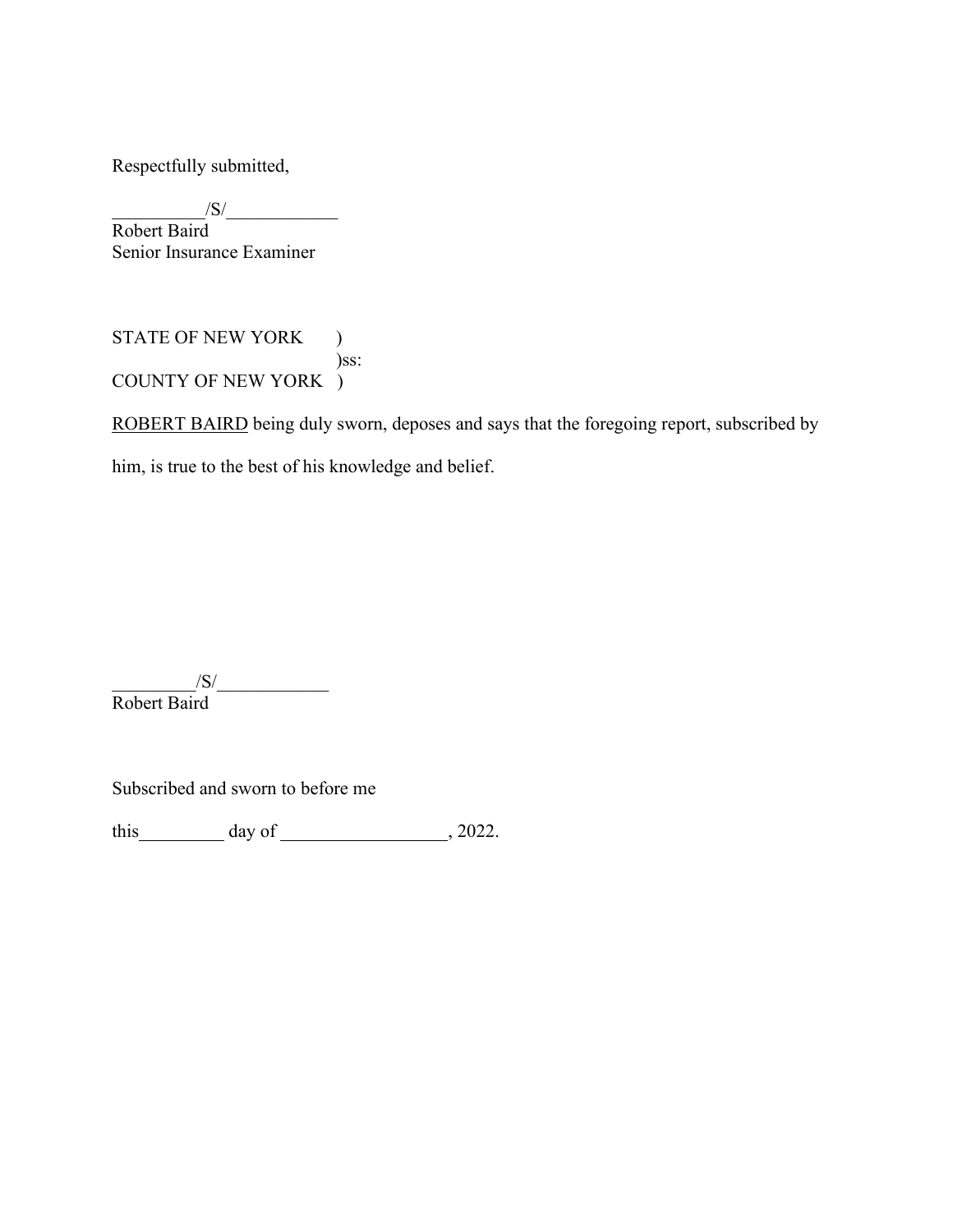Respectfully submitted,

 $\frac{1}{\sqrt{S}}$ Robert Baird Senior Insurance Examiner

STATE OF NEW YORK ) )ss: COUNTY OF NEW YORK )

ROBERT BAIRD being duly sworn, deposes and says that the foregoing report, subscribed by

him, is true to the best of his knowledge and belief.

 $\frac{|S|}{|S|}$ Robert Baird

Subscribed and sworn to before me

this  $\frac{day \text{ of } (2022.4 \text{ m/s})}{x}$